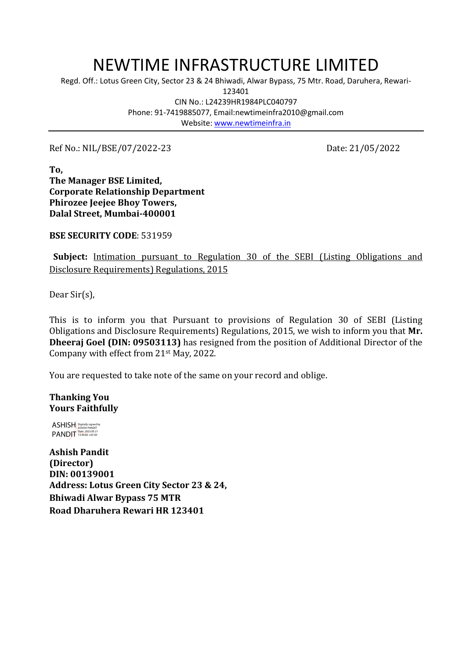## NEWTIME INFRASTRUCTURE LIMITED

Regd. Off.: Lotus Green City, Sector 23 & 24 Bhiwadi, Alwar Bypass, 75 Mtr. Road, Daruhera, Rewari-

123401

CIN No.: L24239HR1984PLC040797 Phone: 91-7419885077, Email:newtimeinfra2010@gmail.com Website: [www.newtimeinfra.in](http://www.newtimeinfra.in/)

Ref No.: NIL/BSE/07/2022-23 Date: 21/05/2022

**To, The Manager BSE Limited, Corporate Relationship Department Phirozee Jeejee Bhoy Towers, Dalal Street, Mumbai-400001**

**BSE SECURITY CODE**: 531959

 **Subject:** Intimation pursuant to Regulation 30 of the SEBI (Listing Obligations and Disclosure Requirements) Regulations, 2015

Dear Sir(s),

This is to inform you that Pursuant to provisions of Regulation 30 of SEBI (Listing Obligations and Disclosure Requirements) Regulations, 2015, we wish to inform you that **Mr. Dheeraj Goel (DIN: [09503113\)](https://www.mca.gov.in/mcafoportal/companyLLPMasterData.do)** has resigned from the position of Additional Director of the Company with effect from 21st May, 2022.

You are requested to take note of the same on your record and oblige.

**Thanking You Yours Faithfully**

ASHISH Digitally signed by ASHISH PANDIT PANDIT 13:44:03 +05'30'

**Ashish Pandit (Director) DIN: 00139001 Address: Lotus Green City Sector 23 & 24, Bhiwadi Alwar Bypass 75 MTR Road Dharuhera Rewari HR 123401**